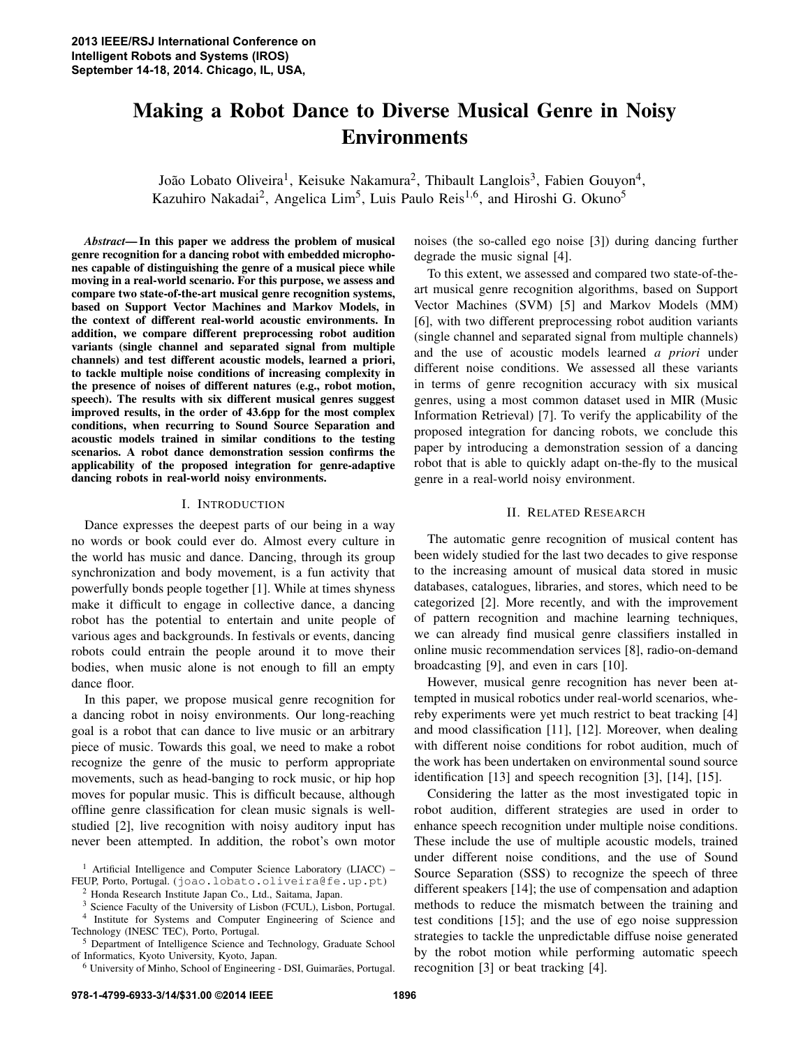# Making a Robot Dance to Diverse Musical Genre in Noisy Environments

João Lobato Oliveira<sup>1</sup>, Keisuke Nakamura<sup>2</sup>, Thibault Langlois<sup>3</sup>, Fabien Gouyon<sup>4</sup>, Kazuhiro Nakadai<sup>2</sup>, Angelica Lim<sup>5</sup>, Luis Paulo Reis<sup>1,6</sup>, and Hiroshi G. Okuno<sup>5</sup>

*Abstract*— In this paper we address the problem of musical genre recognition for a dancing robot with embedded microphones capable of distinguishing the genre of a musical piece while moving in a real-world scenario. For this purpose, we assess and compare two state-of-the-art musical genre recognition systems, based on Support Vector Machines and Markov Models, in the context of different real-world acoustic environments. In addition, we compare different preprocessing robot audition variants (single channel and separated signal from multiple channels) and test different acoustic models, learned a priori, to tackle multiple noise conditions of increasing complexity in the presence of noises of different natures (e.g., robot motion, speech). The results with six different musical genres suggest improved results, in the order of 43.6pp for the most complex conditions, when recurring to Sound Source Separation and acoustic models trained in similar conditions to the testing scenarios. A robot dance demonstration session confirms the applicability of the proposed integration for genre-adaptive dancing robots in real-world noisy environments.

#### I. INTRODUCTION

Dance expresses the deepest parts of our being in a way no words or book could ever do. Almost every culture in the world has music and dance. Dancing, through its group synchronization and body movement, is a fun activity that powerfully bonds people together [1]. While at times shyness make it difficult to engage in collective dance, a dancing robot has the potential to entertain and unite people of various ages and backgrounds. In festivals or events, dancing robots could entrain the people around it to move their bodies, when music alone is not enough to fill an empty dance floor.

In this paper, we propose musical genre recognition for a dancing robot in noisy environments. Our long-reaching goal is a robot that can dance to live music or an arbitrary piece of music. Towards this goal, we need to make a robot recognize the genre of the music to perform appropriate movements, such as head-banging to rock music, or hip hop moves for popular music. This is difficult because, although offline genre classification for clean music signals is wellstudied [2], live recognition with noisy auditory input has never been attempted. In addition, the robot's own motor

noises (the so-called ego noise [3]) during dancing further degrade the music signal [4].

To this extent, we assessed and compared two state-of-theart musical genre recognition algorithms, based on Support Vector Machines (SVM) [5] and Markov Models (MM) [6], with two different preprocessing robot audition variants (single channel and separated signal from multiple channels) and the use of acoustic models learned *a priori* under different noise conditions. We assessed all these variants in terms of genre recognition accuracy with six musical genres, using a most common dataset used in MIR (Music Information Retrieval) [7]. To verify the applicability of the proposed integration for dancing robots, we conclude this paper by introducing a demonstration session of a dancing robot that is able to quickly adapt on-the-fly to the musical genre in a real-world noisy environment.

#### II. RELATED RESEARCH

The automatic genre recognition of musical content has been widely studied for the last two decades to give response to the increasing amount of musical data stored in music databases, catalogues, libraries, and stores, which need to be categorized [2]. More recently, and with the improvement of pattern recognition and machine learning techniques, we can already find musical genre classifiers installed in online music recommendation services [8], radio-on-demand broadcasting [9], and even in cars [10].

However, musical genre recognition has never been attempted in musical robotics under real-world scenarios, whereby experiments were yet much restrict to beat tracking [4] and mood classification [11], [12]. Moreover, when dealing with different noise conditions for robot audition, much of the work has been undertaken on environmental sound source identification [13] and speech recognition [3], [14], [15].

Considering the latter as the most investigated topic in robot audition, different strategies are used in order to enhance speech recognition under multiple noise conditions. These include the use of multiple acoustic models, trained under different noise conditions, and the use of Sound Source Separation (SSS) to recognize the speech of three different speakers [14]; the use of compensation and adaption methods to reduce the mismatch between the training and test conditions [15]; and the use of ego noise suppression strategies to tackle the unpredictable diffuse noise generated by the robot motion while performing automatic speech recognition [3] or beat tracking [4].

 $1$  Artificial Intelligence and Computer Science Laboratory (LIACC) – FEUP, Porto, Portugal. (joao.lobato.oliveira@fe.up.pt)

<sup>2</sup> Honda Research Institute Japan Co., Ltd., Saitama, Japan.

<sup>3</sup> Science Faculty of the University of Lisbon (FCUL), Lisbon, Portugal.

<sup>&</sup>lt;sup>4</sup> Institute for Systems and Computer Engineering of Science and Technology (INESC TEC), Porto, Portugal.

<sup>5</sup> Department of Intelligence Science and Technology, Graduate School of Informatics, Kyoto University, Kyoto, Japan.

<sup>&</sup>lt;sup>6</sup> University of Minho, School of Engineering - DSI, Guimarães, Portugal.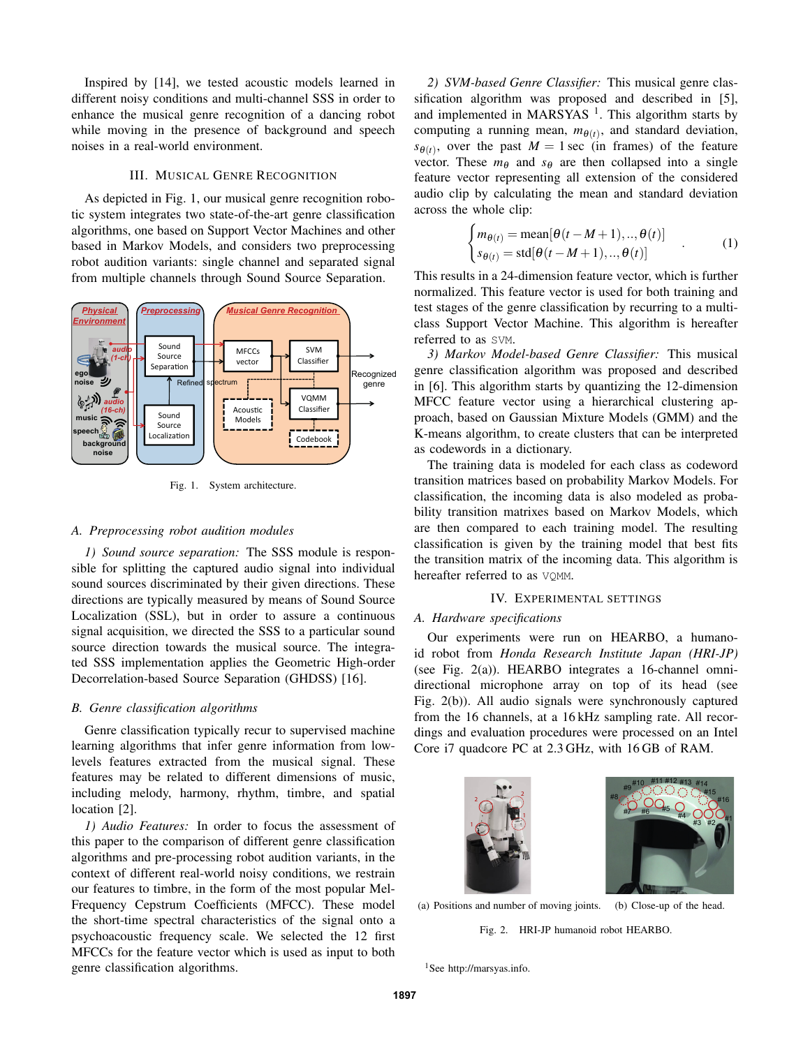Inspired by [14], we tested acoustic models learned in different noisy conditions and multi-channel SSS in order to enhance the musical genre recognition of a dancing robot while moving in the presence of background and speech noises in a real-world environment.

## III. MUSICAL GENRE RECOGNITION

As depicted in Fig. 1, our musical genre recognition robotic system integrates two state-of-the-art genre classification algorithms, one based on Support Vector Machines and other based in Markov Models, and considers two preprocessing robot audition variants: single channel and separated signal from multiple channels through Sound Source Separation.



Fig. 1. System architecture.

#### *A. Preprocessing robot audition modules*

*1) Sound source separation:* The SSS module is responsible for splitting the captured audio signal into individual sound sources discriminated by their given directions. These directions are typically measured by means of Sound Source Localization (SSL), but in order to assure a continuous signal acquisition, we directed the SSS to a particular sound source direction towards the musical source. The integrated SSS implementation applies the Geometric High-order Decorrelation-based Source Separation (GHDSS) [16].

#### *B. Genre classification algorithms*

Genre classification typically recur to supervised machine learning algorithms that infer genre information from lowlevels features extracted from the musical signal. These features may be related to different dimensions of music, including melody, harmony, rhythm, timbre, and spatial location [2].

*1) Audio Features:* In order to focus the assessment of this paper to the comparison of different genre classification algorithms and pre-processing robot audition variants, in the context of different real-world noisy conditions, we restrain our features to timbre, in the form of the most popular Mel-Frequency Cepstrum Coefficients (MFCC). These model the short-time spectral characteristics of the signal onto a psychoacoustic frequency scale. We selected the 12 first MFCCs for the feature vector which is used as input to both genre classification algorithms.

*2) SVM-based Genre Classifier:* This musical genre classification algorithm was proposed and described in [5], and implemented in MARSYAS<sup> $1$ </sup>. This algorithm starts by computing a running mean,  $m_{\theta(t)}$ , and standard deviation,  $s_{\theta(t)}$ , over the past  $M = 1$  sec (in frames) of the feature vector. These  $m_{\theta}$  and  $s_{\theta}$  are then collapsed into a single feature vector representing all extension of the considered audio clip by calculating the mean and standard deviation across the whole clip:

$$
\begin{cases} m_{\theta(t)} = \text{mean}[\theta(t - M + 1), ..., \theta(t)] \\ s_{\theta(t)} = \text{std}[\theta(t - M + 1), ..., \theta(t)] \end{cases}
$$
 (1)

This results in a 24-dimension feature vector, which is further normalized. This feature vector is used for both training and test stages of the genre classification by recurring to a multiclass Support Vector Machine. This algorithm is hereafter referred to as SVM.

*3) Markov Model-based Genre Classifier:* This musical genre classification algorithm was proposed and described in [6]. This algorithm starts by quantizing the 12-dimension MFCC feature vector using a hierarchical clustering approach, based on Gaussian Mixture Models (GMM) and the K-means algorithm, to create clusters that can be interpreted as codewords in a dictionary.

The training data is modeled for each class as codeword transition matrices based on probability Markov Models. For classification, the incoming data is also modeled as probability transition matrixes based on Markov Models, which are then compared to each training model. The resulting classification is given by the training model that best fits the transition matrix of the incoming data. This algorithm is hereafter referred to as VQMM.

### IV. EXPERIMENTAL SETTINGS

## *A. Hardware specifications*

Our experiments were run on HEARBO, a humanoid robot from *Honda Research Institute Japan (HRI-JP)* (see Fig. 2(a)). HEARBO integrates a 16-channel omnidirectional microphone array on top of its head (see Fig. 2(b)). All audio signals were synchronously captured from the 16 channels, at a 16 kHz sampling rate. All recordings and evaluation procedures were processed on an Intel Core i7 quadcore PC at 2.3 GHz, with 16 GB of RAM.





(a) Positions and number of moving joints. (b) Close-up of the head.

Fig. 2. HRI-JP humanoid robot HEARBO.

<sup>1</sup>See http://marsyas.info.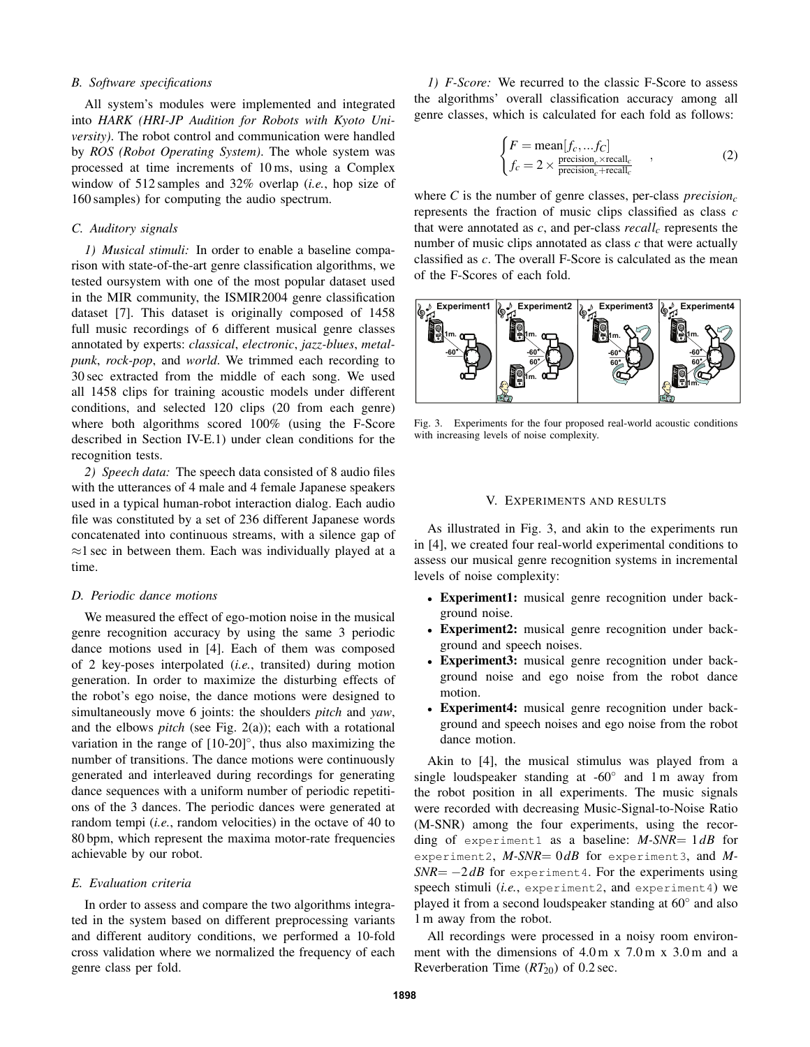#### *B. Software specifications*

All system's modules were implemented and integrated into *HARK (HRI-JP Audition for Robots with Kyoto University)*. The robot control and communication were handled by *ROS (Robot Operating System)*. The whole system was processed at time increments of 10 ms, using a Complex window of 512 samples and 32% overlap (*i.e.*, hop size of 160 samples) for computing the audio spectrum.

# *C. Auditory signals*

*1) Musical stimuli:* In order to enable a baseline comparison with state-of-the-art genre classification algorithms, we tested oursystem with one of the most popular dataset used in the MIR community, the ISMIR2004 genre classification dataset [7]. This dataset is originally composed of 1458 full music recordings of 6 different musical genre classes annotated by experts: *classical*, *electronic*, *jazz-blues*, *metalpunk*, *rock-pop*, and *world*. We trimmed each recording to 30 sec extracted from the middle of each song. We used all 1458 clips for training acoustic models under different conditions, and selected 120 clips (20 from each genre) where both algorithms scored 100% (using the F-Score described in Section IV-E.1) under clean conditions for the recognition tests.

*2) Speech data:* The speech data consisted of 8 audio files with the utterances of 4 male and 4 female Japanese speakers used in a typical human-robot interaction dialog. Each audio file was constituted by a set of 236 different Japanese words concatenated into continuous streams, with a silence gap of *≈*1 sec in between them. Each was individually played at a time.

#### *D. Periodic dance motions*

We measured the effect of ego-motion noise in the musical genre recognition accuracy by using the same 3 periodic dance motions used in [4]. Each of them was composed of 2 key-poses interpolated (*i.e.*, transited) during motion generation. In order to maximize the disturbing effects of the robot's ego noise, the dance motions were designed to simultaneously move 6 joints: the shoulders *pitch* and *yaw*, and the elbows *pitch* (see Fig. 2(a)); each with a rotational variation in the range of [10-20]*◦* , thus also maximizing the number of transitions. The dance motions were continuously generated and interleaved during recordings for generating dance sequences with a uniform number of periodic repetitions of the 3 dances. The periodic dances were generated at random tempi (*i.e.*, random velocities) in the octave of 40 to 80 bpm, which represent the maxima motor-rate frequencies achievable by our robot.

#### *E. Evaluation criteria*

In order to assess and compare the two algorithms integrated in the system based on different preprocessing variants and different auditory conditions, we performed a 10-fold cross validation where we normalized the frequency of each genre class per fold.

*1) F-Score:* We recurred to the classic F-Score to assess the algorithms' overall classification accuracy among all genre classes, which is calculated for each fold as follows:

$$
\begin{cases}\nF = \text{mean}[f_c, \dots f_C] \\
f_c = 2 \times \frac{\text{precision}_c \times \text{recall}_c}{\text{precision}_c + \text{recall}_c}\n\end{cases}
$$
\n(2)

where *C* is the number of genre classes, per-class  $precision<sub>c</sub>$ represents the fraction of music clips classified as class *c* that were annotated as *c*, and per-class *recall<sup>c</sup>* represents the number of music clips annotated as class *c* that were actually classified as *c*. The overall F-Score is calculated as the mean of the F-Scores of each fold.



Fig. 3. Experiments for the four proposed real-world acoustic conditions with increasing levels of noise complexity.

#### V. EXPERIMENTS AND RESULTS

As illustrated in Fig. 3, and akin to the experiments run in [4], we created four real-world experimental conditions to assess our musical genre recognition systems in incremental levels of noise complexity:

- *•* Experiment1: musical genre recognition under background noise.
- *•* Experiment2: musical genre recognition under background and speech noises.
- *•* Experiment3: musical genre recognition under background noise and ego noise from the robot dance motion.
- *•* Experiment4: musical genre recognition under background and speech noises and ego noise from the robot dance motion.

Akin to [4], the musical stimulus was played from a single loudspeaker standing at -60*◦* and 1 m away from the robot position in all experiments. The music signals were recorded with decreasing Music-Signal-to-Noise Ratio (M-SNR) among the four experiments, using the recording of experiment1 as a baseline: *M-SNR*= 1*dB* for experiment2, *M-SNR*= 0dB for experiment3, and *M*-*SNR*=  $-2$ *dB* for experiment4. For the experiments using speech stimuli (*i.e.*, experiment2, and experiment4) we played it from a second loudspeaker standing at 60*◦* and also 1 m away from the robot.

All recordings were processed in a noisy room environment with the dimensions of  $4.0 \text{ m} \times 7.0 \text{ m} \times 3.0 \text{ m}$  and a Reverberation Time ( $RT_{20}$ ) of 0.2 sec.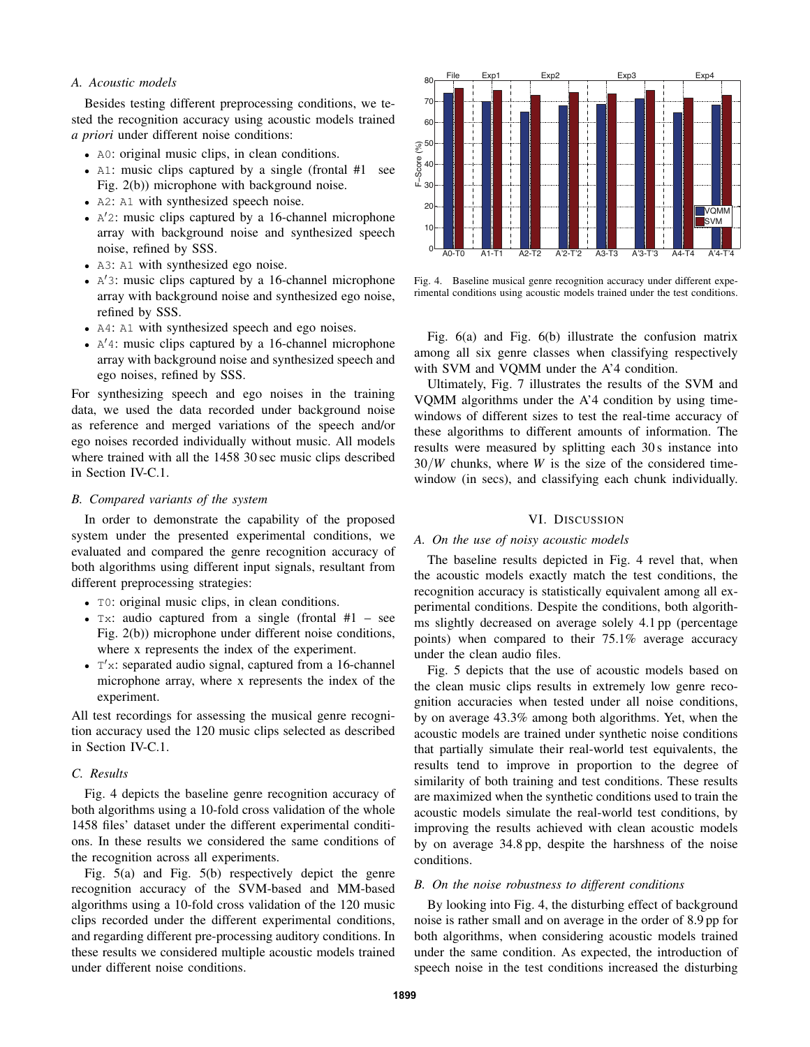#### *A. Acoustic models*

Besides testing different preprocessing conditions, we tested the recognition accuracy using acoustic models trained *a priori* under different noise conditions:

- A0: original music clips, in clean conditions.
- A1: music clips captured by a single (frontal #1 see Fig. 2(b)) microphone with background noise.
- *•* A2: A1 with synthesized speech noise.
- *•* A *′*2: music clips captured by a 16-channel microphone array with background noise and synthesized speech noise, refined by SSS.
- A3: A1 with synthesized ego noise.
- *•* A *′*3: music clips captured by a 16-channel microphone array with background noise and synthesized ego noise, refined by SSS.
- *•* A4: A1 with synthesized speech and ego noises.
- *•* A *′*4: music clips captured by a 16-channel microphone array with background noise and synthesized speech and ego noises, refined by SSS.

For synthesizing speech and ego noises in the training data, we used the data recorded under background noise as reference and merged variations of the speech and/or ego noises recorded individually without music. All models where trained with all the 1458 30 sec music clips described in Section IV-C.1.

#### *B. Compared variants of the system*

In order to demonstrate the capability of the proposed system under the presented experimental conditions, we evaluated and compared the genre recognition accuracy of both algorithms using different input signals, resultant from different preprocessing strategies:

- T0: original music clips, in clean conditions.
- *•* Tx: audio captured from a single (frontal #1 see Fig. 2(b)) microphone under different noise conditions, where x represents the index of the experiment.
- *•* T *′*x: separated audio signal, captured from a 16-channel microphone array, where x represents the index of the experiment.

All test recordings for assessing the musical genre recognition accuracy used the 120 music clips selected as described in Section IV-C.1.

# *C. Results*

Fig. 4 depicts the baseline genre recognition accuracy of both algorithms using a 10-fold cross validation of the whole 1458 files' dataset under the different experimental conditions. In these results we considered the same conditions of the recognition across all experiments.

Fig. 5(a) and Fig. 5(b) respectively depict the genre recognition accuracy of the SVM-based and MM-based algorithms using a 10-fold cross validation of the 120 music clips recorded under the different experimental conditions, and regarding different pre-processing auditory conditions. In these results we considered multiple acoustic models trained under different noise conditions.



Fig. 4. Baseline musical genre recognition accuracy under different experimental conditions using acoustic models trained under the test conditions.

Fig. 6(a) and Fig. 6(b) illustrate the confusion matrix among all six genre classes when classifying respectively with SVM and VQMM under the A'4 condition.

Ultimately, Fig. 7 illustrates the results of the SVM and VQMM algorithms under the A'4 condition by using timewindows of different sizes to test the real-time accuracy of these algorithms to different amounts of information. The results were measured by splitting each 30 s instance into 30*/W* chunks, where *W* is the size of the considered timewindow (in secs), and classifying each chunk individually.

#### VI. DISCUSSION

#### *A. On the use of noisy acoustic models*

The baseline results depicted in Fig. 4 revel that, when the acoustic models exactly match the test conditions, the recognition accuracy is statistically equivalent among all experimental conditions. Despite the conditions, both algorithms slightly decreased on average solely 4.1 pp (percentage points) when compared to their 75.1% average accuracy under the clean audio files.

Fig. 5 depicts that the use of acoustic models based on the clean music clips results in extremely low genre recognition accuracies when tested under all noise conditions, by on average 43.3% among both algorithms. Yet, when the acoustic models are trained under synthetic noise conditions that partially simulate their real-world test equivalents, the results tend to improve in proportion to the degree of similarity of both training and test conditions. These results are maximized when the synthetic conditions used to train the acoustic models simulate the real-world test conditions, by improving the results achieved with clean acoustic models by on average 34.8 pp, despite the harshness of the noise conditions.

## *B. On the noise robustness to different conditions*

By looking into Fig. 4, the disturbing effect of background noise is rather small and on average in the order of 8.9 pp for both algorithms, when considering acoustic models trained under the same condition. As expected, the introduction of speech noise in the test conditions increased the disturbing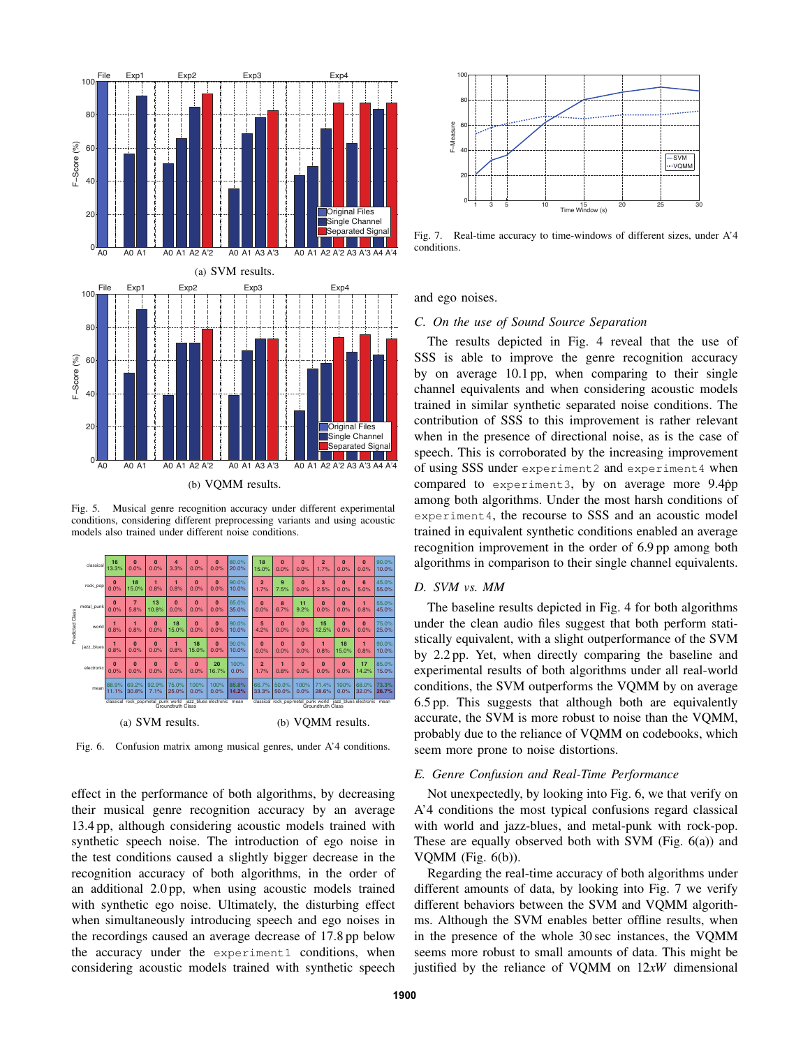

Fig. 5. Musical genre recognition accuracy under different experimental conditions, considering different preprocessing variants and using acoustic models also trained under different noise conditions.



Fig. 6. Confusion matrix among musical genres, under A'4 conditions.

effect in the performance of both algorithms, by decreasing their musical genre recognition accuracy by an average 13.4 pp, although considering acoustic models trained with synthetic speech noise. The introduction of ego noise in the test conditions caused a slightly bigger decrease in the recognition accuracy of both algorithms, in the order of an additional 2.0 pp, when using acoustic models trained with synthetic ego noise. Ultimately, the disturbing effect when simultaneously introducing speech and ego noises in the recordings caused an average decrease of 17.8 pp below the accuracy under the experiment1 conditions, when



Fig. 7. Real-time accuracy to time-windows of different sizes, under A'4 conditions.

and ego noises.

#### *C. On the use of Sound Source Separation*

**algorithms in comparison to their single channel equivalents.** The results depicted in Fig. 4 reveal that the use of SSS is able to improve the genre recognition accuracy by on average 10.1 pp, when comparing to their single channel equivalents and when considering acoustic models trained in similar synthetic separated noise conditions. The contribution of SSS to this improvement is rather relevant when in the presence of directional noise, as is the case of speech. This is corroborated by the increasing improvement of using SSS under experiment2 and experiment4 when compared to experiment3, by on average more  $9.4$ pp among both algorithms. Under the most harsh conditions of experiment4, the recourse to SSS and an acoustic model trained in equivalent synthetic conditions enabled an average recognition improvement in the order of 6.9 pp among both

## *D. SVM vs. MM*

 $\frac{75.0\%}{25.0\%}$  under the clean audio files suggest that both perform stati-<sup>10.0%</sup> by 2.2 pp. Yet, when directly comparing the baseline and **experimental results of both algorithms under all real-world 73.3%** conditions, the SVM outperforms the VQMM by on average The baseline results depicted in Fig. 4 for both algorithms stically equivalent, with a slight outperformance of the SVM 6.5 pp. This suggests that although both are equivalently accurate, the SVM is more robust to noise than the VQMM, probably due to the reliance of VQMM on codebooks, which seem more prone to noise distortions.

#### *E. Genre Confusion and Real-Time Performance*

Not unexpectedly, by looking into Fig. 6, we that verify on A'4 conditions the most typical confusions regard classical with world and jazz-blues, and metal-punk with rock-pop. These are equally observed both with SVM (Fig. 6(a)) and VQMM (Fig. 6(b)).

Regarding the real-time accuracy of both algorithms under different amounts of data, by looking into Fig. 7 we verify different behaviors between the SVM and VQMM algorithms. Although the SVM enables better offline results, when in the presence of the whole 30 sec instances, the VQMM seems more robust to small amounts of data. This might be justified by the reliance of VQMM on 12*xW* dimensional